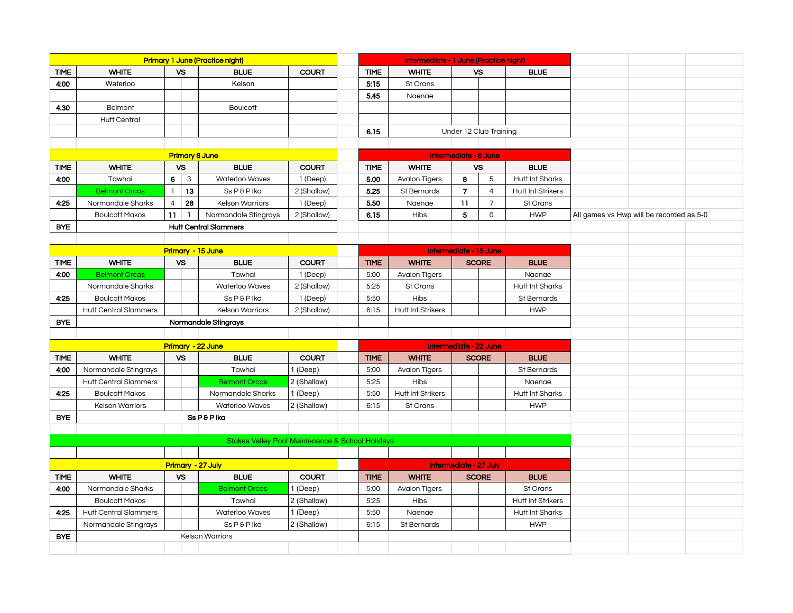|                       | <b>Primary 1 June (Practice night)</b> |                        |              |                                                             |              |  |             | Intermediate - 1 June (Practice night) |                        |                        |                          |                                          |  |
|-----------------------|----------------------------------------|------------------------|--------------|-------------------------------------------------------------|--------------|--|-------------|----------------------------------------|------------------------|------------------------|--------------------------|------------------------------------------|--|
| <b>TIME</b>           | <b>WHITE</b>                           |                        | <b>VS</b>    | <b>BLUE</b>                                                 | <b>COURT</b> |  | <b>TIME</b> | <b>WHITE</b>                           |                        | <b>VS</b>              | <b>BLUE</b>              |                                          |  |
| 4:00                  | Waterloo                               |                        |              | Kelson                                                      |              |  | 5:15        | St Orans                               |                        |                        |                          |                                          |  |
|                       |                                        |                        |              |                                                             |              |  | 5.45        | Naenae                                 |                        |                        |                          |                                          |  |
| 4.30                  | Belmont                                |                        |              | <b>Boulcott</b>                                             |              |  |             |                                        |                        |                        |                          |                                          |  |
|                       | <b>Hutt Central</b>                    |                        |              |                                                             |              |  |             |                                        |                        |                        |                          |                                          |  |
|                       |                                        |                        |              |                                                             |              |  | 6.15        |                                        |                        | Under 12 Club Training |                          |                                          |  |
|                       |                                        |                        |              |                                                             |              |  |             |                                        |                        |                        |                          |                                          |  |
| <b>Primary 8 June</b> |                                        |                        |              |                                                             |              |  |             |                                        | Intermediate - 8 June  |                        |                          |                                          |  |
| <b>TIME</b>           | <b>WHITE</b><br><b>VS</b>              |                        |              | <b>BLUE</b>                                                 | <b>COURT</b> |  | <b>TIME</b> | <b>WHITE</b>                           | <b>VS</b>              |                        | <b>BLUE</b>              |                                          |  |
| 4.00                  | Tawhai                                 | 6                      | $\mathbf{3}$ | Waterloo Waves                                              | 1 (Deep)     |  | 5.00        | <b>Avalon Tigers</b>                   | 8                      | 5                      | <b>Hutt Int Sharks</b>   |                                          |  |
|                       | <b>Belmont Orcas</b>                   | $\mathbf{1}$           | 13           | Ss P & P Ika                                                | 2 (Shallow)  |  | 5.25        | St Bernards                            | $\overline{7}$         | $\overline{4}$         | <b>Hutt Int Strikers</b> |                                          |  |
| 4:25                  | Normandale Sharks                      | $\overline{4}$         | 28           | <b>Kelson Warriors</b>                                      | 1 (Deep)     |  | 5.50        | Naenae                                 | 11                     | $\overline{7}$         | St Orans                 |                                          |  |
|                       | <b>Boulcott Makos</b>                  | 11                     |              | Normandale Stingrays                                        | 2 (Shallow)  |  | 6.15        | Hibs                                   | 5                      | $\mathsf{O}$           | <b>HWP</b>               | All games vs Hwp will be recorded as 5-0 |  |
| <b>BYE</b>            |                                        |                        |              | <b>Hutt Central Slammers</b>                                |              |  |             |                                        |                        |                        |                          |                                          |  |
|                       |                                        |                        |              |                                                             |              |  |             |                                        |                        |                        |                          |                                          |  |
|                       |                                        |                        |              | Primary - 15 June                                           |              |  |             |                                        | Intermediate - 15 June |                        |                          |                                          |  |
| <b>TIME</b>           | <b>WHITE</b>                           |                        | VS           | <b>BLUE</b>                                                 | <b>COURT</b> |  | <b>TIME</b> | <b>WHITE</b>                           |                        | <b>SCORE</b>           | <b>BLUE</b>              |                                          |  |
| 4.00                  | <b>Belmont Orcas</b>                   |                        |              | Tawhai                                                      | 1 (Deep)     |  | 5:00        | <b>Avalon Tigers</b>                   |                        |                        | Naenae                   |                                          |  |
|                       | Normandale Sharks                      |                        |              | Waterloo Waves                                              | 2 (Shallow)  |  | 5:25        | St Orans                               |                        |                        | Hutt Int Sharks          |                                          |  |
| 4:25                  | <b>Boulcott Makos</b>                  |                        |              | Ss P & P Ika                                                | 1 (Deep)     |  | 5:50        | <b>Hibs</b>                            |                        |                        | St Bernards              |                                          |  |
|                       | <b>Hutt Central Slammers</b>           |                        |              | <b>Kelson Warriors</b>                                      | 2 (Shallow)  |  | 6:15        | Hutt Int Strikers                      |                        |                        | <b>HWP</b>               |                                          |  |
| <b>BYE</b>            |                                        |                        |              | Normandale Stingrays                                        |              |  |             |                                        |                        |                        |                          |                                          |  |
|                       |                                        |                        |              |                                                             |              |  |             |                                        |                        |                        |                          |                                          |  |
|                       |                                        |                        |              | <b>Primary - 22 June</b>                                    |              |  |             |                                        | Intermediate - 22 June |                        |                          |                                          |  |
| TIME                  | <b>WHITE</b>                           |                        | <b>VS</b>    | <b>BLUE</b>                                                 | <b>COURT</b> |  | <b>TIME</b> | <b>WHITE</b>                           |                        | <b>SCORE</b>           | <b>BLUE</b>              |                                          |  |
| 4:00                  | Normandale Stingrays                   |                        |              | Tawhai                                                      | 1 (Deep)     |  | 5:00        | <b>Avalon Tigers</b>                   |                        |                        | St Bernards              |                                          |  |
|                       | <b>Hutt Central Slammers</b>           |                        |              | <b>Belmont Orcas</b>                                        | 2 (Shallow)  |  | 5:25        | Hibs                                   |                        |                        | Naenae                   |                                          |  |
| 4:25                  | <b>Boulcott Makos</b>                  |                        |              | Normandale Sharks                                           | 1 (Deep)     |  | 5:50        | Hutt Int Strikers                      |                        |                        | Hutt Int Sharks          |                                          |  |
|                       | <b>Kelson Warriors</b>                 |                        |              | Waterloo Waves                                              | 2 (Shallow)  |  | 6:15        | St Orans                               |                        |                        | <b>HWP</b>               |                                          |  |
| <b>BYE</b>            |                                        |                        |              | Ss P & P Ika                                                |              |  |             |                                        |                        |                        |                          |                                          |  |
|                       |                                        |                        |              |                                                             |              |  |             |                                        |                        |                        |                          |                                          |  |
|                       |                                        |                        |              | <b>Stokes Valley Pool Maintenance &amp; School Holidays</b> |              |  |             |                                        |                        |                        |                          |                                          |  |
|                       |                                        |                        |              |                                                             |              |  |             |                                        |                        |                        |                          |                                          |  |
|                       | <b>Primary - 27 July</b>               |                        |              |                                                             |              |  |             |                                        | Intermediate - 27 July |                        |                          |                                          |  |
| <b>TIME</b>           | <b>WHITE</b>                           |                        | <b>VS</b>    | <b>BLUE</b>                                                 | <b>COURT</b> |  | <b>TIME</b> | <b>WHITE</b>                           |                        | <b>SCORE</b>           | <b>BLUE</b>              |                                          |  |
| 4:00                  | Normandale Sharks                      |                        |              | <b>Belmont Orcas</b>                                        | 1 (Deep)     |  | 5:00        | <b>Avalon Tigers</b>                   |                        |                        | St Orans                 |                                          |  |
|                       | <b>Boulcott Makos</b>                  |                        |              | Tawhai                                                      | 2 (Shallow)  |  | 5:25        | <b>Hibs</b>                            |                        |                        | <b>Hutt Int Strikers</b> |                                          |  |
| 4:25                  | <b>Hutt Central Slammers</b>           |                        |              | Waterloo Waves                                              | 1 (Deep)     |  | 5:50        | Naenae                                 |                        |                        | Hutt Int Sharks          |                                          |  |
|                       | Normandale Stingrays                   |                        |              | Ss P & P Ika                                                | 2 (Shallow)  |  | 6:15        | St Bernards                            |                        |                        | <b>HWP</b>               |                                          |  |
| <b>BYE</b>            |                                        | <b>Kelson Warriors</b> |              |                                                             |              |  |             |                                        |                        |                        |                          |                                          |  |
|                       |                                        |                        |              |                                                             |              |  |             |                                        |                        |                        |                          |                                          |  |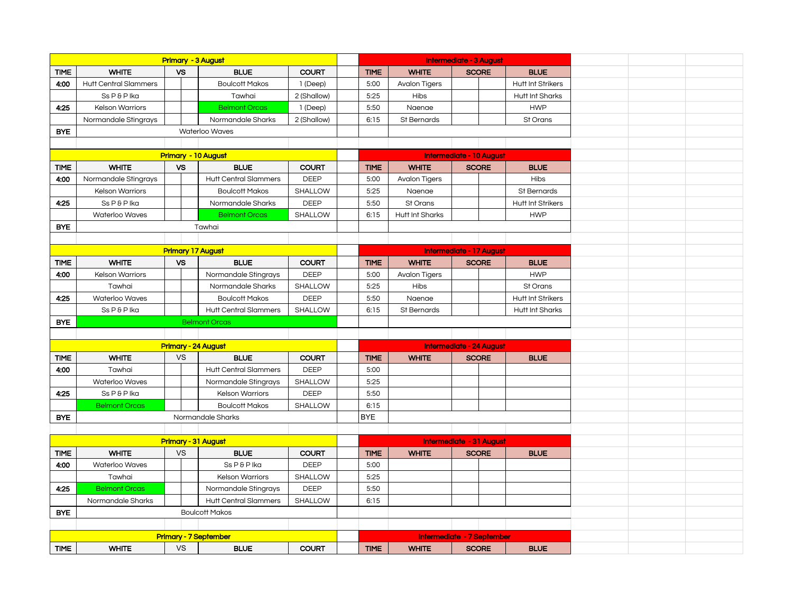|             | <b>Primary - 3 August</b>    |                            |                              |                              |                          |                                   |             | <b>Intermediate - 3 August</b>  |              |              |                          |  |
|-------------|------------------------------|----------------------------|------------------------------|------------------------------|--------------------------|-----------------------------------|-------------|---------------------------------|--------------|--------------|--------------------------|--|
| <b>TIME</b> | <b>WHITE</b>                 |                            | <b>VS</b>                    | <b>BLUE</b>                  | <b>COURT</b>             |                                   | <b>TIME</b> | <b>WHITE</b>                    |              | <b>SCORE</b> | <b>BLUE</b>              |  |
| 4:00        | <b>Hutt Central Slammers</b> |                            |                              | <b>Boulcott Makos</b>        | 1 (Deep)                 |                                   | 5:00        | <b>Avalon Tigers</b>            |              |              | <b>Hutt Int Strikers</b> |  |
|             | Ss P & P Ika                 |                            |                              | Tawhai                       | 2 (Shallow)              |                                   | 5:25        | <b>Hibs</b>                     |              |              | <b>Hutt Int Sharks</b>   |  |
| 4:25        | <b>Kelson Warriors</b>       |                            |                              | <b>Belmont Orcas</b>         | 1 (Deep)                 |                                   | 5:50        | Naenae                          |              |              | <b>HWP</b>               |  |
|             | Normandale Stingrays         |                            |                              | Normandale Sharks            | 2 (Shallow)              |                                   | 6:15        | St Bernards                     |              |              | St Orans                 |  |
| <b>BYE</b>  |                              |                            |                              | <b>Waterloo Waves</b>        |                          |                                   |             |                                 |              |              |                          |  |
|             |                              |                            |                              |                              |                          |                                   |             |                                 |              |              |                          |  |
|             |                              | <b>Primary - 10 August</b> |                              |                              | Intermediate - 10 August |                                   |             |                                 |              |              |                          |  |
| <b>TIME</b> | <b>WHITE</b>                 |                            | <b>VS</b>                    | <b>BLUE</b>                  | <b>COURT</b>             |                                   | <b>TIME</b> | <b>WHITE</b>                    | <b>SCORE</b> |              | <b>BLUE</b>              |  |
| 4:00        | Normandale Stingrays         |                            |                              | <b>Hutt Central Slammers</b> | <b>DEEP</b>              |                                   | 5:00        | <b>Avalon Tigers</b>            |              |              | Hibs                     |  |
|             | <b>Kelson Warriors</b>       |                            |                              | <b>Boulcott Makos</b>        | SHALLOW                  |                                   | 5:25        | Naenae                          |              |              | St Bernards              |  |
| 4:25        | Ss P & P Ika                 |                            |                              | Normandale Sharks            | DEEP                     |                                   | 5:50        | St Orans                        |              |              | <b>Hutt Int Strikers</b> |  |
|             | Waterloo Waves               |                            |                              | <b>Belmont Orcas</b>         | SHALLOW                  |                                   | 6:15        | Hutt Int Sharks                 |              |              | <b>HWP</b>               |  |
| <b>BYE</b>  |                              |                            |                              | Tawhai                       |                          |                                   |             |                                 |              |              |                          |  |
|             |                              |                            |                              |                              |                          |                                   |             |                                 |              |              |                          |  |
|             |                              |                            |                              | <b>Primary 17 August</b>     |                          |                                   |             | Intermediate - 17 August        |              |              |                          |  |
| <b>TIME</b> | <b>WHITE</b>                 |                            | <b>VS</b>                    | <b>BLUE</b>                  | <b>COURT</b>             |                                   | <b>TIME</b> | <b>WHITE</b>                    | <b>SCORE</b> |              | <b>BLUE</b>              |  |
| 4:00        | <b>Kelson Warriors</b>       |                            |                              | Normandale Stingrays         | <b>DEEP</b>              |                                   | 5:00        | <b>Avalon Tigers</b>            |              |              | <b>HWP</b>               |  |
|             | Tawhai                       |                            |                              | Normandale Sharks            | SHALLOW                  |                                   | 5:25        | Hibs                            |              |              | St Orans                 |  |
| 4:25        | Waterloo Waves               |                            |                              | <b>Boulcott Makos</b>        | <b>DEEP</b>              |                                   | 5:50        | Naenae                          |              |              | <b>Hutt Int Strikers</b> |  |
|             | Ss P & P Ika                 |                            |                              | <b>Hutt Central Slammers</b> | SHALLOW                  |                                   | 6:15        | St Bernards                     |              |              | <b>Hutt Int Sharks</b>   |  |
| <b>BYE</b>  |                              |                            |                              | <b>Belmont Orcas</b>         |                          |                                   |             |                                 |              |              |                          |  |
|             |                              |                            |                              |                              |                          |                                   |             |                                 |              |              |                          |  |
|             |                              |                            |                              | <b>Primary - 24 August</b>   |                          |                                   |             | <b>Intermediate - 24 August</b> |              |              |                          |  |
| <b>TIME</b> | <b>WHITE</b>                 |                            | <b>VS</b>                    | <b>BLUE</b>                  | <b>COURT</b>             |                                   | <b>TIME</b> | <b>WHITE</b>                    | <b>SCORE</b> |              | <b>BLUE</b>              |  |
| 4:00        | Tawhai                       |                            |                              | <b>Hutt Central Slammers</b> | <b>DEEP</b>              |                                   | 5:00        |                                 |              |              |                          |  |
|             | Waterloo Waves               |                            |                              | Normandale Stingrays         | SHALLOW                  |                                   | 5:25        |                                 |              |              |                          |  |
| 4:25        | Ss P & P Ika                 |                            |                              | <b>Kelson Warriors</b>       | <b>DEEP</b>              |                                   | 5:50        |                                 |              |              |                          |  |
|             | <b>Belmont Orcas</b>         |                            |                              | <b>Boulcott Makos</b>        | SHALLOW                  |                                   | 6:15        |                                 |              |              |                          |  |
| <b>BYE</b>  |                              |                            |                              | Normandale Sharks            |                          |                                   | <b>BYE</b>  |                                 |              |              |                          |  |
|             |                              |                            |                              |                              |                          |                                   |             |                                 |              |              |                          |  |
|             |                              |                            |                              | Primary - 31 August          |                          |                                   |             | Intermediate - 31 August        |              |              |                          |  |
| <b>TIME</b> | <b>WHITE</b>                 |                            | <b>VS</b>                    | <b>BLUE</b>                  | <b>COURT</b>             |                                   | <b>TIME</b> | <b>WHITE</b>                    | <b>SCORE</b> |              | <b>BLUE</b>              |  |
| 4:00        | Waterloo Waves               |                            |                              | Ss P & P Ika                 | <b>DEEP</b>              |                                   | 5:00        |                                 |              |              |                          |  |
|             | Tawhai                       |                            |                              | <b>Kelson Warriors</b>       | SHALLOW                  |                                   | 5:25        |                                 |              |              |                          |  |
| 4:25        | <b>Belmont Orcas</b>         |                            |                              | Normandale Stingrays         | <b>DEEP</b>              |                                   | 5:50        |                                 |              |              |                          |  |
|             | Normandale Sharks            |                            |                              | <b>Hutt Central Slammers</b> | SHALLOW                  |                                   | 6:15        |                                 |              |              |                          |  |
| <b>BYE</b>  |                              |                            |                              | <b>Boulcott Makos</b>        |                          |                                   |             |                                 |              |              |                          |  |
|             |                              |                            |                              |                              |                          |                                   |             |                                 |              |              |                          |  |
|             |                              |                            | <b>Primary - 7 September</b> |                              |                          | <b>Intermediate - 7 September</b> |             |                                 |              |              |                          |  |
| <b>TIME</b> | <b>WHITE</b>                 |                            | <b>VS</b>                    | <b>BLUE</b>                  | <b>COURT</b>             |                                   | <b>TIME</b> | <b>WHITE</b>                    | <b>SCORE</b> |              | <b>BLUE</b>              |  |